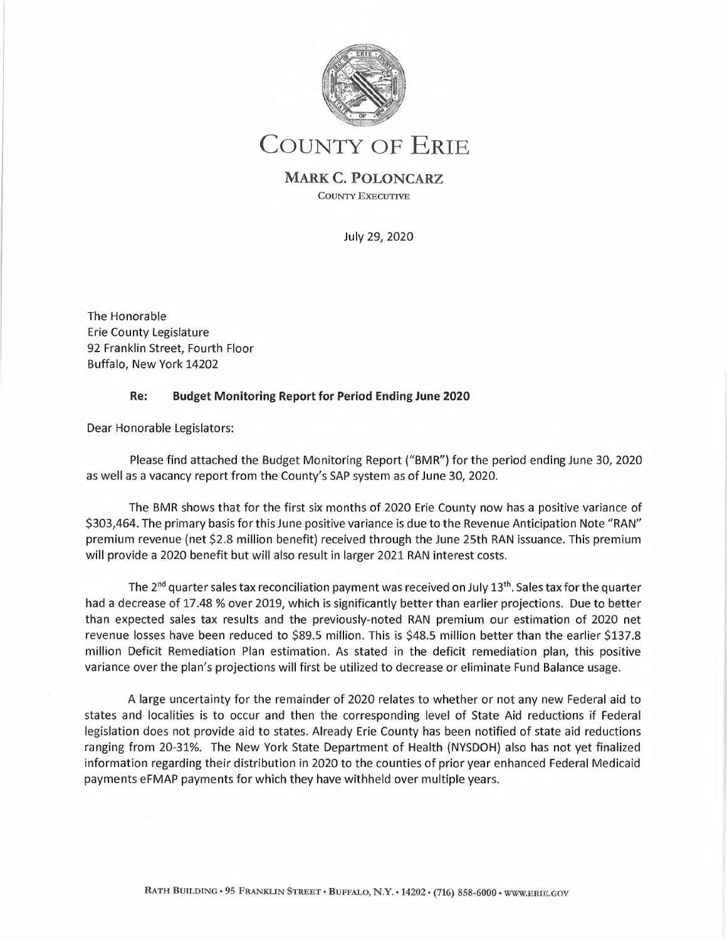

# COUNTY OF ERIE

**MARK C. POLONCARZ**  COUNTY EXECUTIVE

July 29, 2020

The Honorable Erie County Legislature 92 Franklin Street, Fourth Floor Buffalo, New York 14202

## **Re: Budget Monitoring Report for Period Ending June 2020**

Dear Honorable Legislators:

Please find attached the Budget Monitoring Report ("BMR") for the period ending June 30, 2020 as well as a vacancy report from the County's SAP system as of June 30, 2020.

The BMR shows that for the first six months of 2020 Erie County now has a positive variance of \$303,464. The primary basis for this June positive variance is due to the Revenue Anticipation Note "RAN" premium revenue (net \$2.8 million benefit) received through the June 25th RAN issuance. This premium will provide a 2020 benefit but will also result in larger 2021 RAN interest costs.

The 2<sup>nd</sup> quarter sales tax reconciliation payment was received on July 13<sup>th</sup>. Sales tax for the quarter had a decrease of 17.48 % over 2019, which is significantly better than earlier projections. Due to better than expected sales tax results and the previously-noted RAN premium our estimation of 2020 net revenue losses have been reduced to \$89.5 million. This is \$48.5 million better than the earlier \$137.8 million Deficit Remediation Plan estimation. As stated in the deficit remediation plan, this positive variance over the plan's projections will first be utilized to decrease or eliminate Fund Balance usage.

A large uncertainty for the remainder of 2020 relates to whether or not any new Federal aid to states and localities is to occur and then the corresponding level of State Aid reductions if Federal legislation does not provide aid to states. Already Erie County has been notified of state aid reductions ranging from 20-31%. The New York State Department of Health (NYSDOH) also has not yet finalized information regarding their distribution in 2020 to the counties of prior year enhanced Federal Medicaid payments eFMAP payments for which they have withheld over multiple years.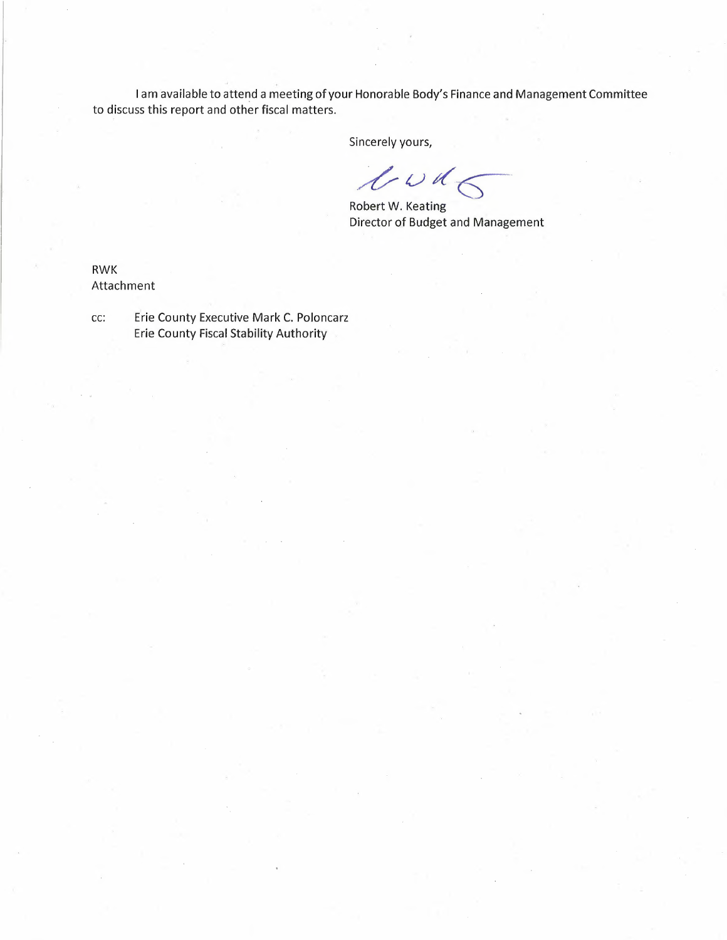I am available to attend a meeting of your Honorable Body's Finance and Management Committee to discuss this report and other fiscal matters.

Sincerely yours,

 $\ell$ wds

Robert W. Keating Director of Budget and Management

RWK Attachment

cc: Erie County Executive Mark C. Poloncarz Erie County Fiscal Stability Authority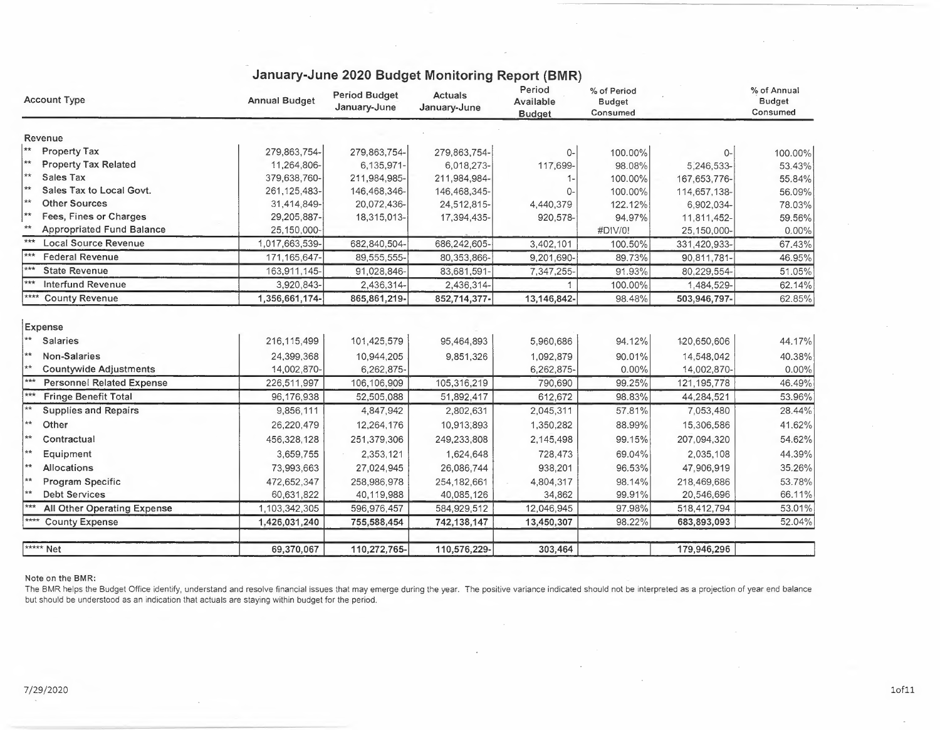| <b>Account Type</b>                         | <b>Annual Budget</b> | <b>Period Budget</b><br>January-June | <b>Actuals</b><br>January-June | Period<br>Available<br><b>Budget</b> | % of Period<br><b>Budget</b><br>Consumed |               | % of Annual<br><b>Budget</b><br>Consumed |
|---------------------------------------------|----------------------|--------------------------------------|--------------------------------|--------------------------------------|------------------------------------------|---------------|------------------------------------------|
| Revenue                                     |                      |                                      |                                |                                      |                                          |               |                                          |
| $**$<br><b>Property Tax</b>                 | 279,863,754-         | 279,863,754-                         | 279,863,754-                   | 0-                                   | 100.00%                                  | 0-            | 100.00%                                  |
| **<br><b>Property Tax Related</b>           | 11,264,806-          | 6,135,971-                           | 6,018,273-                     | 117,699-                             | 98.08%                                   | 5,246,533-    | 53.43%                                   |
| **<br>Sales Tax                             | 379,638,760-         | 211,984,985-                         | 211,984,984-                   |                                      | 100.00%                                  | 167,653,776-  | 55.84%                                   |
| **<br>Sales Tax to Local Govt.              | 261, 125, 483-       | 146,468,346-                         | 146,468,345-                   | 0-                                   | 100.00%                                  | 114,657,138-  | 56.09%                                   |
| **<br><b>Other Sources</b>                  | 31,414,849-          | 20,072,436-                          | 24,512,815-                    | 4,440,379                            | 122.12%                                  | 6,902,034-    | 78.03%                                   |
| ∣∗∗<br>Fees, Fines or Charges               | 29,205,887-          | 18,315,013-                          | 17,394,435-                    | 920,578-                             | 94.97%                                   | 11,811,452-   | 59.56%                                   |
| $**$<br><b>Appropriated Fund Balance</b>    | 25,150,000-          |                                      |                                |                                      | #DIV/0!                                  | 25,150,000-   | 0.00%                                    |
| ***<br><b>Local Source Revenue</b>          | 1,017,663,539-       | 682,840,504-                         | 686,242,605-                   | 3,402,101                            | 100.50%                                  | 331,420,933-  | 67.43%                                   |
| $***$<br><b>Federal Revenue</b>             | 171, 165, 647        | 89,555,555-                          | 80,353,866-                    | 9.201.690-                           | 89.73%                                   | 90,811,781-   | 46.95%                                   |
| $***$<br><b>State Revenue</b>               | 163,911,145-         | 91,028,846-                          | 83,681,591-                    | 7,347,255-                           | 91.93%                                   | 80,229,554-   | 51.05%                                   |
| $***$<br><b>Interfund Revenue</b>           | 3,920,843-           | 2,436,314-                           | 2,436,314-                     |                                      | 100.00%                                  | 1,484,529-    | 62.14%                                   |
| ****<br><b>County Revenue</b>               | 1,356,661,174-       | 865,861,219-                         | 852,714,377-                   | 13,146,842-                          | 98.48%                                   | 503,946,797-  | 62.85%                                   |
| Expense<br>$\star\star$<br><b>Salaries</b>  | 216,115,499          | 101,425,579                          | 95,464,893                     | 5,960,686                            | 94.12%                                   | 120,650,606   | 44.17%                                   |
| **<br>Non-Salaries                          | 24,399,368           | 10,944,205                           | 9,851,326                      | 1,092,879                            | 90.01%                                   | 14,548,042    | 40.38%                                   |
| **<br><b>Countywide Adjustments</b>         | 14,002,870-          | 6,262,875-                           |                                | 6,262,875-                           | 0.00%                                    | 14,002,870-   | 0.00%                                    |
| $***$<br><b>Personnel Related Expense</b>   | 226,511,997          | 106,106,909                          | 105,316,219                    | 790,690                              | 99.25%                                   | 121, 195, 778 | 46.49%                                   |
| $***$<br><b>Fringe Benefit Total</b>        | 96,176,938           | 52,505,088                           | 51,892,417                     | 612,672                              | 98.83%                                   | 44,284,521    | 53.96%                                   |
| $\star\star$<br><b>Supplies and Repairs</b> | 9,856,111            | 4,847,942                            | 2,802,631                      | 2,045,311                            | 57.81%                                   | 7,053,480     | 28.44%                                   |
| **<br>Other                                 | 26,220,479           | 12,264,176                           | 10,913,893                     | 1,350,282                            | 88.99%                                   | 15,306,586    | 41.62%                                   |
| $**$<br>Contractual                         | 456,328,128          | 251,379,306                          | 249,233,808                    | 2,145,498                            | 99.15%                                   | 207,094,320   | 54.62%                                   |
| **<br>Equipment                             | 3,659,755            | 2,353,121                            | 1,624,648                      | 728,473                              | 69.04%                                   | 2,035,108     | 44.39%                                   |
| $**$<br>Allocations                         | 73,993,663           | 27,024,945                           | 26,086,744                     | 938,201                              | 96.53%                                   | 47,906,919    | 35.26%                                   |
| $**$<br>Program Specific                    | 472,652,347          | 258,986,978                          | 254,182,661                    | 4,804,317                            | 98.14%                                   | 218,469,686   | 53.78%                                   |
| $**$<br><b>Debt Services</b>                | 60,631,822           | 40,119,988                           | 40,085,126                     | 34,862                               | 99.91%                                   | 20,546,696    | 66.11%                                   |
| $***$<br>All Other Operating Expense        | 1,103,342,305        | 596,976,457                          | 584,929,512                    | 12,046,945                           | 97.98%                                   | 518,412,794   | 53.01%                                   |
| <b>County Expense</b>                       | 1,426,031,240        | 755,588,454                          | 742,138,147                    | 13,450,307                           | 98.22%                                   | 683,893,093   | 52.04%                                   |
|                                             |                      |                                      |                                |                                      |                                          |               |                                          |
| $x***$ Net                                  | 69,370,067           | 110,272,765-                         | 110,576,229-                   | 303,464                              |                                          | 179,946,296   |                                          |

# **January-June 2020 Budget Monitoring Report (BMR)**

#### Note on the **BMR:**

The BMR helps the Budget Office identify, understand and resolve financial issues that may emerge during the year. The positive variance indicated should not be interpreted as a projection of year end balance but should be understood as an indication that actuals are staying within budget for the period.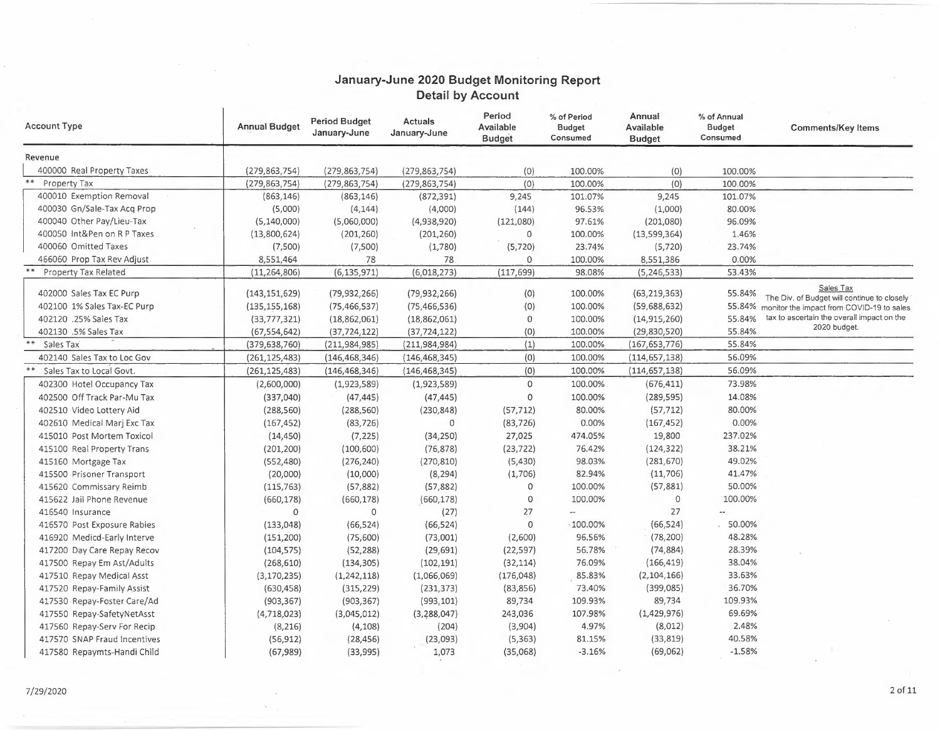## **January-June 2020 Budget Monitoring Report Detail by Account**

| <b>Account Type</b>                       | <b>Annual Budget</b> | <b>Period Budget</b><br>January-June | <b>Actuals</b><br>January-June | Period<br>Available<br><b>Budget</b> | % of Period<br><b>Budget</b><br>Consumed | Annual<br>Available<br><b>Budget</b> | % of Annual<br><b>Budget</b><br>Consumed | <b>Comments/Key Items</b>                                                                       |
|-------------------------------------------|----------------------|--------------------------------------|--------------------------------|--------------------------------------|------------------------------------------|--------------------------------------|------------------------------------------|-------------------------------------------------------------------------------------------------|
| Revenue                                   |                      |                                      |                                |                                      |                                          |                                      |                                          |                                                                                                 |
| 400000 Real Property Taxes                | (279, 863, 754)      | (279, 863, 754)                      | (279, 863, 754)                | (0)                                  | 100.00%                                  | (0)                                  | 100.00%                                  |                                                                                                 |
| **<br>Property Tax                        | (279, 863, 754)      | (279, 863, 754)                      | (279, 863, 754)                | (0)                                  | 100.00%                                  | (0)                                  | 100.00%                                  |                                                                                                 |
| 400010 Exemption Removal                  | (863, 146)           | (863, 146)                           | (872, 391)                     | 9,245                                | 101.07%                                  | 9,245                                | 101.07%                                  |                                                                                                 |
| 400030 Gn/Sale-Tax Acq Prop               | (5,000)              | (4, 144)                             | (4,000)                        | (144)                                | 96.53%                                   | (1,000)                              | 80.00%                                   |                                                                                                 |
| 400040 Other Pay/Lieu-Tax                 | (5, 140, 000)        | (5,060,000)                          | (4,938,920)                    | (121,080)                            | 97.61%                                   | (201,080)                            | 96.09%                                   |                                                                                                 |
| 400050 Int&Pen on R P Taxes               | (13,800,624)         | (201, 260)                           | (201, 260)                     | $\circ$                              | 100.00%                                  | (13,599,364)                         | 1.46%                                    |                                                                                                 |
| 400060 Omitted Taxes                      | (7,500)              | (7,500)                              | (1,780)                        | (5, 720)                             | 23.74%                                   | (5, 720)                             | 23.74%                                   |                                                                                                 |
| 466060 Prop Tax Rev Adjust                | 8,551,464            | 78                                   | 78                             | 0                                    | 100.00%                                  | 8,551,386                            | 0.00%                                    |                                                                                                 |
| <b>Property Tax Related</b>               | (11, 264, 806)       | (6, 135, 971)                        | (6,018,273)                    | (117, 699)                           | 98.08%                                   | (5, 246, 533)                        | 53.43%                                   |                                                                                                 |
| 402000 Sales Tax EC Purp                  | (143, 151, 629)      | (79, 932, 266)                       | (79, 932, 266)                 | (0)                                  | 100.00%                                  | (63, 219, 363)                       | 55.84%                                   | Sales Tax                                                                                       |
| 402100 1% Sales Tax-EC Purp               | (135, 155, 168)      | (75, 466, 537)                       | (75, 466, 536)                 | (0)                                  | 100.00%                                  | (59,688,632)                         |                                          | The Div. of Budget will continue to closely<br>55.84% monitor the impact from COVID-19 to sales |
| 402120 .25% Sales Tax                     | (33, 777, 321)       | (18, 862, 061)                       | (18,862,061)                   | $\circ$                              | 100.00%                                  | (14, 915, 260)                       | 55.84%                                   | tax to ascertain the overall impact on the                                                      |
| 402130 .5% Sales Tax                      | (67, 554, 642)       | (37, 724, 122)                       | (37, 724, 122)                 | (0)                                  | 100.00%                                  | (29,830,520)                         | 55.84%                                   | 2020 budget.                                                                                    |
| Sales Tax                                 | (379, 638, 760)      | (211, 984, 985)                      | (211, 984, 984)                | (1)                                  | 100.00%                                  | (167, 653, 776)                      | 55.84%                                   |                                                                                                 |
| 402140 Sales Tax to Loc Gov               | (261, 125, 483)      | (146, 468, 346)                      | (146, 468, 345)                | (0)                                  | 100.00%                                  | (114, 657, 138)                      | 56.09%                                   |                                                                                                 |
| $\ast$ $\ast$<br>Sales Tax to Local Govt. | (261, 125, 483)      | (146, 468, 346)                      | (146, 468, 345)                | (0)                                  | 100.00%                                  | (114, 657, 138)                      | 56.09%                                   |                                                                                                 |
| 402300 Hotel Occupancy Tax                | (2,600,000)          | (1,923,589)                          | (1,923,589)                    | $\circ$                              | 100.00%                                  | (676, 411)                           | 73.98%                                   |                                                                                                 |
| 402500 Off Track Par-Mu Tax               | (337,040)            | (47, 445)                            | (47, 445)                      | 0                                    | 100.00%                                  | (289, 595)                           | 14.08%                                   |                                                                                                 |
| 402510 Video Lottery Aid                  | (288, 560)           | (288, 560)                           | (230, 848)                     | (57, 712)                            | 80.00%                                   | (57, 712)                            | 80.00%                                   |                                                                                                 |
| 402610 Medical Marj Exc Tax               | (167, 452)           | (83, 726)                            | 0                              | (83, 726)                            | 0.00%                                    | (167, 452)                           | 0.00%                                    |                                                                                                 |
| 415010 Post Mortem Toxicol                | (14, 450)            | (7, 225)                             | (34, 250)                      | 27,025                               | 474.05%                                  | 19,800                               | 237.02%                                  |                                                                                                 |
| 415100 Real Property Trans                | (201, 200)           | (100, 600)                           | (76, 878)                      | (23, 722)                            | 76.42%                                   | (124, 322)                           | 38.21%                                   |                                                                                                 |
| 415160 Mortgage Tax                       | (552, 480)           | (276, 240)                           | (270, 810)                     | (5,430)                              | 98.03%                                   | (281, 670)                           | 49.02%                                   |                                                                                                 |
| 415500 Prisoner Transport                 | (20,000)             | (10,000)                             | (8, 294)                       | (1,706)                              | 82.94%                                   | (11,706)                             | 41.47%                                   |                                                                                                 |
| 415620 Commissary Reimb                   | (115, 763)           | (57, 882)                            | (57, 882)                      | 0                                    | 100.00%                                  | (57, 881)                            | 50.00%                                   |                                                                                                 |
| 415622 Jail Phone Revenue                 | (660, 178)           | (660, 178)                           | (660, 178)                     | $\mathbf 0$                          | 100.00%                                  | $\mathbf 0$                          | 100.00%                                  |                                                                                                 |
| 416540 Insurance                          | $\mathbf{0}$         | $\circ$                              | (27)                           | 27                                   |                                          | 27                                   |                                          |                                                                                                 |
| 416570 Post Exposure Rabies               | (133, 048)           | (66, 524)                            | (66, 524)                      | 0                                    | $-100.00%$                               | (66, 524)                            | 50.00%                                   |                                                                                                 |
| 416920 Medicd-Early Interve               | (151, 200)           | (75,600)                             | (73,001)                       | (2,600)                              | 96.56%                                   | (78, 200)                            | 48.28%                                   |                                                                                                 |
| 417200 Day Care Repay Recov               | (104, 575)           | (52, 288)                            | (29, 691)                      | (22, 597)                            | 56.78%                                   | (74, 884)                            | 28.39%                                   |                                                                                                 |
| 417500 Repay Em Ast/Adults                | (268, 610)           | (134, 305)                           | (102, 191)                     | (32, 114)                            | 76.09%                                   | (166, 419)                           | 38.04%                                   |                                                                                                 |
| 417510 Repay Medical Asst                 | (3, 170, 235)        | (1,242,118)                          | (1,066,069)                    | (176, 048)                           | 85.83%                                   | (2, 104, 166)                        | 33.63%                                   |                                                                                                 |
| 417520 Repay-Family Assist                | (630, 458)           | (315, 229)                           | (231, 373)                     | (83, 856)                            | 73.40%                                   | (399, 085)                           | 36.70%                                   |                                                                                                 |
| 417530 Repay-Foster Care/Ad               | (903, 367)           | (903, 367)                           | (993, 101)                     | 89,734                               | 109.93%                                  | 89,734                               | 109.93%                                  |                                                                                                 |
| 417550 Repay-SafetyNetAsst                | (4,718,023)          | (3,045,012)                          | (3,288,047)                    | 243,036                              | 107.98%                                  | (1,429,976)                          | 69.69%                                   |                                                                                                 |
| 417560 Repay-Serv For Recip               | (8, 216)             | (4, 108)                             | (204)                          | (3,904)                              | 4.97%                                    | (8,012)                              | 2.48%                                    |                                                                                                 |
| 417570 SNAP Fraud Incentives              | (56, 912)            | (28, 456)                            | (23,093)                       | (5, 363)                             | 81.15%                                   | (33, 819)                            | 40.58%                                   |                                                                                                 |
| 417580 Repaymts-Handi Child               | (67, 989)            | (33,995)                             | 1,073                          | (35,068)                             | $-3.16%$                                 | (69,062)                             | $-1.58%$                                 |                                                                                                 |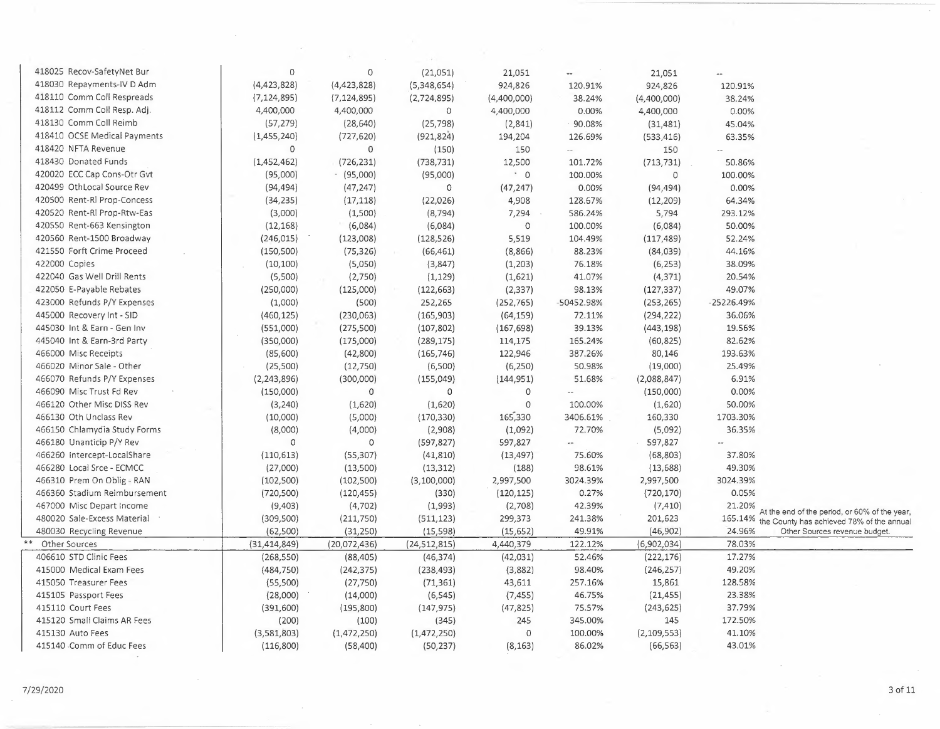| 418025 Recov-SafetyNet Bur   | 0              | 0                      | (21,051)               | 21,051                | --                       | 21,051        | $\overline{\phantom{a}}$ |                                                                                                    |
|------------------------------|----------------|------------------------|------------------------|-----------------------|--------------------------|---------------|--------------------------|----------------------------------------------------------------------------------------------------|
| 418030 Repayments-IV D Adm   | (4,423,828)    | (4,423,828)            | (5,348,654)            | 924,826               | 120.91%                  | 924,826       | 120.91%                  |                                                                                                    |
| 418110 Comm Coll Respreads   | (7, 124, 895)  | (7, 124, 895)          | (2,724,895)            | (4,400,000)           | 38.24%                   | (4,400,000)   | 38.24%                   |                                                                                                    |
| 418112 Comm Coll Resp. Adj.  | 4,400,000      | 4,400,000              | $\circ$                | 4,400,000             | 0.00%                    | 4,400,000     | 0.00%                    |                                                                                                    |
| 418130 Comm Coll Reimb       | (57, 279)      | (28, 640)              | (25, 798)              | (2,841)               | 90.08%                   | (31, 481)     | 45.04%                   |                                                                                                    |
| 418410 OCSE Medical Payments | (1,455,240)    | (727, 620)             | (921, 824)             | 194,204               | 126.69%                  | (533, 416)    | 63.35%                   |                                                                                                    |
| 418420 NFTA Revenue          | 0              | 0                      | (150)                  | 150                   | $\overline{a}$           | 150           | $\overline{\phantom{a}}$ |                                                                                                    |
| 418430 Donated Funds         | (1,452,462)    | (726, 231)             | (738, 731)             | 12,500                | 101.72%                  | (713, 731)    | 50.86%                   |                                                                                                    |
| 420020 ECC Cap Cons-Otr Gvt  | (95,000)       | $-$ (95,000)           | (95,000)               | $\cdot$ 0             | 100.00%                  | $\mathbf 0$   | 100.00%                  |                                                                                                    |
| 420499 OthLocal Source Rev   | (94, 494)      | (47, 247)              | $\circ$                | (47, 247)             | 0.00%                    | (94, 494)     | 0.00%                    |                                                                                                    |
| 420500 Rent-Rl Prop-Concess  | (34, 235)      | (17, 118)              | (22, 026)              | 4,908                 | 128.67%                  | (12, 209)     | 64.34%                   |                                                                                                    |
| 420520 Rent-RI Prop-Rtw-Eas  | (3,000)        | (1,500)                | (8, 794)               | 7,294                 | 586.24%                  | 5,794         | 293.12%                  |                                                                                                    |
| 420550 Rent-663 Kensington   | (12, 168)      | (6,084)                | (6,084)                | 0                     | 100.00%                  | (6,084)       | 50.00%                   |                                                                                                    |
| 420560 Rent-1500 Broadway    | (246, 015)     |                        |                        | 5,519                 | 104.49%                  |               | 52.24%                   |                                                                                                    |
| 421550 Forft Crime Proceed   |                | (123,008)              | (128, 526)             |                       |                          | (117, 489)    |                          |                                                                                                    |
|                              | (150, 500)     | (75, 326)              | (66, 461)              | (8,866)               | 88.23%                   | (84,039)      | 44.16%                   |                                                                                                    |
| 422000 Copies                | (10, 100)      | (5,050)                | (3,847)                | (1,203)               | 76.18%                   | (6, 253)      | 38.09%                   |                                                                                                    |
| 422040 Gas Well Drill Rents  | (5,500)        | (2,750)                | (1, 129)               | (1,621)               | 41.07%                   | (4, 371)      | 20.54%                   |                                                                                                    |
| 422050 E-Payable Rebates     | (250,000)      | (125,000)              | (122, 663)             | (2, 337)              | 98.13%                   | (127, 337)    | 49.07%                   |                                                                                                    |
| 423000 Refunds P/Y Expenses  | (1,000)        | (500)                  | 252,265                | (252, 765)            | -50452.98%               | (253, 265)    | -25226.49%               |                                                                                                    |
| 445000 Recovery Int - SID    | (460, 125)     | (230,063)              | (165, 903)             | (64, 159)             | 72.11%                   | (294, 222)    | 36.06%                   |                                                                                                    |
| 445030 Int & Earn - Gen Inv  | (551,000)      | (275,500)              | (107, 802)             | (167, 698)            | 39.13%                   | (443, 198)    | 19.56%                   |                                                                                                    |
| 445040 Int & Earn-3rd Party  | (350,000)      | (175,000)              | (289, 175)             | 114,175               | 165.24%                  | (60, 825)     | 82.62%                   |                                                                                                    |
| 466000 Misc Receipts         | (85,600)       | (42, 800)              | (165, 746)             | 122,946               | 387.26%                  | 80,146        | 193.63%                  |                                                                                                    |
| 466020 Minor Sale - Other    | (25, 500)      | (12,750)               | (6,500)                | (6, 250)              | 50.98%                   | (19,000)      | 25.49%                   |                                                                                                    |
| 466070 Refunds P/Y Expenses  | (2, 243, 896)  | (300,000)              | (155, 049)             | (144, 951)            | 51.68%                   | (2,088,847)   | 6.91%                    |                                                                                                    |
| 466090 Misc Trust Fd Rev     | (150,000)      | $\circ$                | 0                      | $\mathsf O$           | $\overline{\phantom{a}}$ | (150,000)     | 0.00%                    |                                                                                                    |
| 466120 Other Misc DISS Rev   | (3, 240)       | (1,620)                | (1,620)                | $\mathbf 0$           | 100.00%                  | (1,620)       | 50.00%                   |                                                                                                    |
| 466130 Oth Unclass Rev       | (10,000)       | (5,000)                | (170, 330)             | 165,330               | 3406.61%                 | 160,330       | 1703.30%                 |                                                                                                    |
| 466150 Chlamydia Study Forms | (8,000)        | (4,000)                | (2,908)                | (1,092)               | 72.70%                   | (5,092)       | 36.35%                   |                                                                                                    |
| 466180 Unanticip P/Y Rev     | $\circ$        | $\circ$                | (597, 827)             | 597,827               | $\overline{a}$           | 597,827       | $\overline{a}$           |                                                                                                    |
| 466260 Intercept-LocalShare  | (110, 613)     | (55, 307)              | (41, 810)              | (13, 497)             | 75.60%                   | (68, 803)     | 37.80%                   |                                                                                                    |
| 466280 Local Srce - ECMCC    | (27,000)       | (13,500)               | (13, 312)              | (188)                 | 98.61%                   | (13, 688)     | 49.30%                   |                                                                                                    |
| 466310 Prem On Oblig - RAN   | (102, 500)     | (102, 500)             | (3, 100, 000)          | 2,997,500             | 3024.39%                 | 2,997,500     | 3024.39%                 |                                                                                                    |
| 466360 Stadium Reimbursement | (720, 500)     | (120, 455)             | (330)                  | (120, 125)            | 0.27%                    | (720, 170)    | 0.05%                    |                                                                                                    |
| 467000 Misc Depart Income    | (9,403)        | (4, 702)               | (1,993)                | (2,708)               | 42.39%                   | (7, 410)      | 21.20%                   |                                                                                                    |
| 480020 Sale-Excess Material  | (309, 500)     | (211,750)              | (511, 123)             | 299,373               | 241.38%                  | 201,623       |                          | At the end of the period, or 60% of the year,<br>165.14% the County has achieved 78% of the annual |
| 480030 Recycling Revenue     | (62, 500)      | (31, 250)              | (15, 598)              | (15, 652)             | 49.91%                   | (46, 902)     | 24.96%                   | Other Sources revenue budget.                                                                      |
| Other Sources                | (31, 414, 849) | (20,072,436)           | (24, 512, 815)         | 4,440,379             | 122.12%                  | (6,902,034)   | 78.03%                   |                                                                                                    |
| 406610 STD Clinic Fees       | (268, 550)     | (88, 405)              | (46, 374)              | (42,031)              | 52.46%                   | (222, 176)    | 17.27%                   |                                                                                                    |
| 415000 Medical Exam Fees     | (484, 750)     | (242, 375)             | (238, 493)             | (3,882)               | 98.40%                   | (246, 257)    | 49.20%                   |                                                                                                    |
| 415050 Treasurer Fees        | (55,500)       | (27,750)               | (71, 361)              | 43,611                | 257.16%                  | 15,861        | 128.58%                  |                                                                                                    |
| 415105 Passport Fees         | (28,000)       |                        |                        |                       | 46.75%                   | (21, 455)     | 23.38%                   |                                                                                                    |
| 415110 Court Fees            |                | (14,000)<br>(195, 800) | (6, 545)<br>(147, 975) | (7, 455)<br>(47, 825) | 75.57%                   | (243, 625)    | 37.79%                   |                                                                                                    |
| 415120 Small Claims AR Fees  | (391,600)      |                        |                        |                       | 345.00%                  | 145           | 172.50%                  |                                                                                                    |
|                              | (200)          | (100)                  | (345)                  | 245                   |                          |               |                          |                                                                                                    |
| 415130 Auto Fees             | (3,581,803)    | (1,472,250)            | (1,472,250)            | $\circ$               | 100.00%                  | (2, 109, 553) | 41.10%                   |                                                                                                    |
| 415140 Comm of Educ Fees     | (116, 800)     | (58, 400)              | (50, 237)              | (8, 163)              | 86.02%                   | (66, 563)     | 43.01%                   |                                                                                                    |

 $\bar{z}$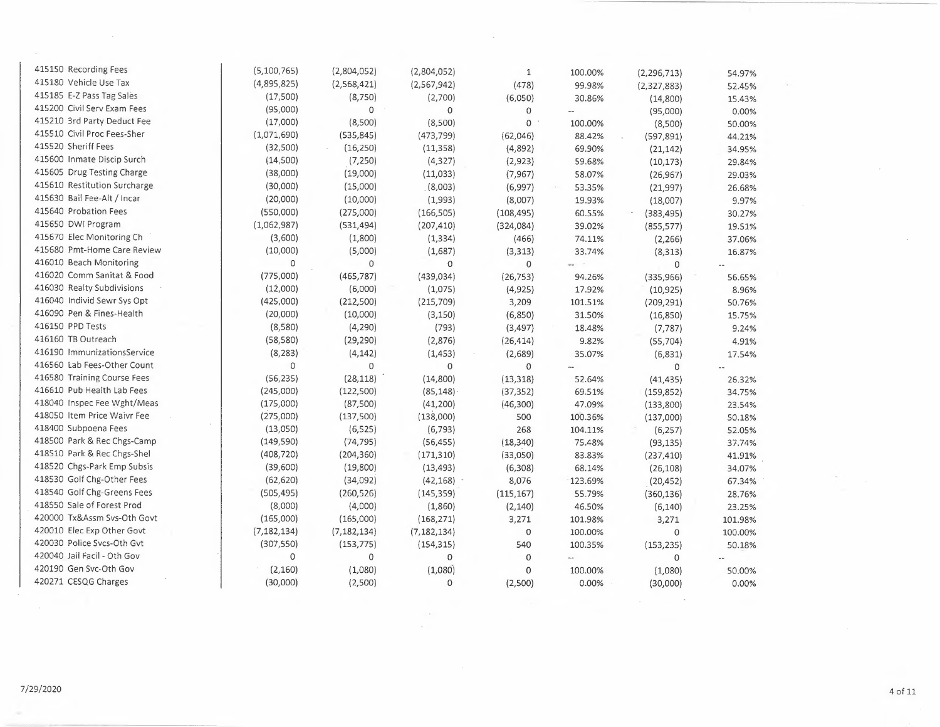| 415150 Recording Fees        | (5, 100, 765) | (2,804,052)   | (2,804,052)   | $\mathbf{1}$ | 100.00% | (2, 296, 713) | 54.97%  |
|------------------------------|---------------|---------------|---------------|--------------|---------|---------------|---------|
| 415180 Vehicle Use Tax       | (4,895,825)   | (2,568,421)   | (2,567,942)   | (478)        | 99.98%  | (2,327,883)   | 52.45%  |
| 415185 E-Z Pass Tag Sales    | (17,500)      | (8,750)       | (2,700)       | (6,050)      | 30.86%  | (14,800)      | 15.43%  |
| 415200 Civil Serv Exam Fees  | (95,000)      | $\mathbf 0$   | $\circ$       | 0            |         | (95,000)      | 0.00%   |
| 415210 3rd Party Deduct Fee  | (17,000)      | (8,500)       | (8,500)       | $\Omega$     | 100.00% | (8,500)       | 50.00%  |
| 415510 Civil Proc Fees-Sher  | (1,071,690)   | (535, 845)    | (473, 799)    | (62,046)     | 88.42%  | (597, 891)    | 44.21%  |
| 415520 Sheriff Fees          | (32,500)      | (16, 250)     | (11, 358)     | (4,892)      | 69.90%  | (21, 142)     | 34.95%  |
| 415600 Inmate Discip Surch   | (14,500)      | (7, 250)      | (4, 327)      | (2,923)      | 59.68%  | (10, 173)     | 29.84%  |
| 415605 Drug Testing Charge   | (38,000)      | (19,000)      | (11,033)      | (7, 967)     | 58.07%  | (26, 967)     | 29.03%  |
| 415610 Restitution Surcharge | (30,000)      | (15,000)      | (8,003)       | (6,997)      | 53.35%  | (21, 997)     | 26.68%  |
| 415630 Bail Fee-Alt / Incar  | (20,000)      | (10,000)      | (1,993)       | (8,007)      | 19.93%  | (18,007)      | 9.97%   |
| 415640 Probation Fees        | (550,000)     | (275,000)     | (166, 505)    | (108, 495)   | 60.55%  | (383, 495)    | 30.27%  |
| 415650 DWI Program           | (1,062,987)   | (531, 494)    | (207, 410)    | (324,084)    | 39.02%  | (855, 577)    | 19.51%  |
| 415670 Elec Monitoring Ch    | (3,600)       | (1,800)       | (1, 334)      | (466)        | 74.11%  | (2, 266)      | 37.06%  |
| 415680 Pmt-Home Care Review  | (10,000)      | (5,000)       | (1,687)       | (3,313)      | 33.74%  | (8, 313)      | 16.87%  |
| 416010 Beach Monitoring      | 0             | 0             | 0             | 0            |         | $\mathbf 0$   |         |
| 416020 Comm Sanitat & Food   | (775,000)     | (465, 787)    | (439, 034)    | (26, 753)    | 94.26%  | (335,966)     | 56.65%  |
| 416030 Realty Subdivisions   | (12,000)      | (6,000)       | (1,075)       | (4,925)      | 17.92%  | (10, 925)     | 8.96%   |
| 416040 Individ Sewr Sys Opt  | (425,000)     | (212, 500)    | (215,709)     | 3,209        | 101.51% | (209, 291)    | 50.76%  |
| 416090 Pen & Fines-Health    | (20,000)      | (10,000)      | (3, 150)      | (6,850)      | 31.50%  | (16, 850)     | 15.75%  |
| 416150 PPD Tests             | (8,580)       | (4, 290)      | (793)         | (3, 497)     | 18.48%  | (7, 787)      | 9.24%   |
| 416160 TB Outreach           | (58, 580)     | (29, 290)     | (2,876)       | (26, 414)    | 9.82%   | (55, 704)     | 4.91%   |
| 416190 ImmunizationsService  | (8, 283)      | (4, 142)      | (1,453)       | (2,689)      | 35.07%  | (6, 831)      | 17.54%  |
| 416560 Lab Fees-Other Count  | $\Omega$      | $\Omega$      | $\circ$       | $\circ$      | w.      | $\Omega$      |         |
| 416580 Training Course Fees  | (56, 235)     | (28, 118)     | (14, 800)     | (13, 318)    | 52.64%  | (41, 435)     | 26.32%  |
| 416610 Pub Health Lab Fees   | (245,000)     | (122,500)     | (85, 148)     | (37, 352)    | 69.51%  | (159, 852)    | 34.75%  |
| 418040 Inspec Fee Wght/Meas  | (175,000)     | (87,500)      | (41, 200)     | (46,300)     | 47.09%  | (133, 800)    | 23.54%  |
| 418050 Item Price Waivr Fee  | (275,000)     | (137,500)     | (138,000)     | 500          | 100.36% | (137,000)     | 50.18%  |
| 418400 Subpoena Fees         | (13,050)      | (6, 525)      | (6, 793)      | 268          | 104.11% | (6, 257)      | 52.05%  |
| 418500 Park & Rec Chgs-Camp  | (149, 590)    | (74, 795)     | (56, 455)     | (18, 340)    | 75.48%  | (93, 135)     | 37.74%  |
| 418510 Park & Rec Chgs-Shel  | (408, 720)    | (204, 360)    | (171, 310)    | (33,050)     | 83.83%  | (237, 410)    | 41.91%  |
| 418520 Chgs-Park Emp Subsis  | (39,600)      | (19,800)      | (13, 493)     | (6,308)      | 68.14%  | (26, 108)     | 34.07%  |
| 418530 Golf Chg-Other Fees   | (62, 620)     | (34,092)      | (42, 168)     | 8,076        | 123.69% | (20, 452)     | 67.34%  |
| 418540 Golf Chg-Greens Fees  | (505, 495)    | (260, 526)    | (145, 359)    | (115, 167)   | 55.79%  | (360, 136)    | 28.76%  |
| 418550 Sale of Forest Prod   | (8,000)       | (4,000)       | (1,860)       | (2, 140)     | 46.50%  | (6, 140)      | 23.25%  |
| 420000 Tx&Assm Svs-Oth Govt  | (165,000)     | (165,000)     | (168, 271)    | 3,271        | 101.98% | 3,271         | 101.98% |
| 420010 Elec Exp Other Govt   | (7, 182, 134) | (7, 182, 134) | (7, 182, 134) | $\circ$      | 100.00% | 0             | 100.00% |
| 420030 Police Svcs-Oth Gvt   | (307, 550)    | (153, 775)    | (154, 315)    | 540          | 100.35% | (153, 235)    | 50.18%  |
| 420040 Jail Facil - Oth Gov  | $\mathbf 0$   | $\circ$       | $\mathbf{O}$  | $\circ$      |         | 0             |         |
| 420190 Gen Svc-Oth Gov       | (2,160)       | (1,080)       | (1,080)       | 0            | 100.00% | (1,080)       | 50.00%  |
| 420271 CESQG Charges         | (30,000)      | (2,500)       | 0             | (2,500)      | 0.00%   | (30,000)      | 0.00%   |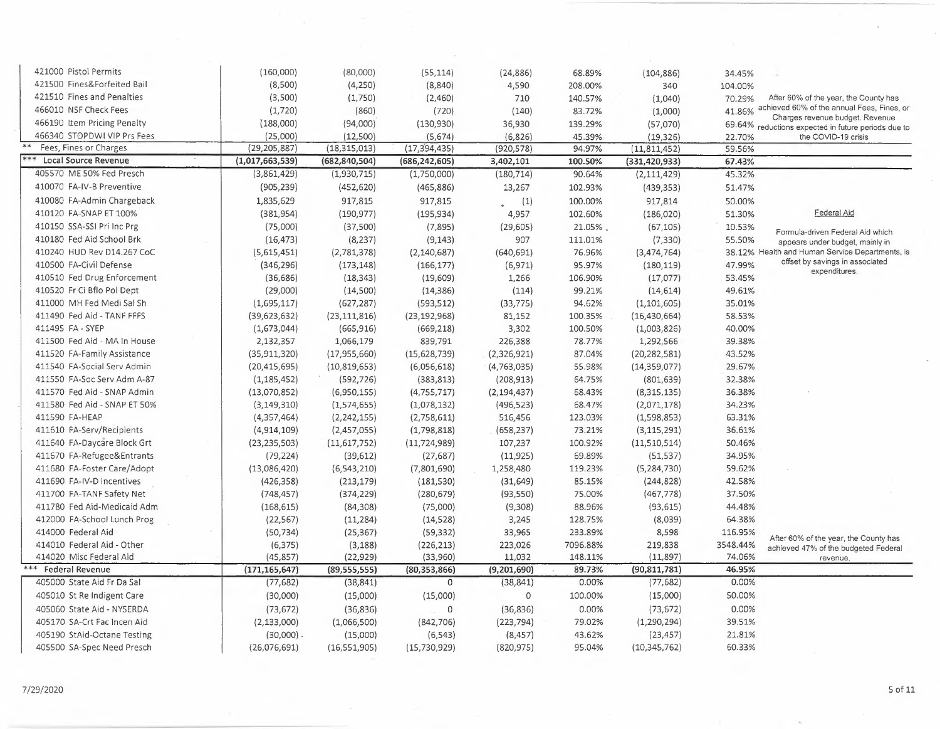| 421000 Pistol Permits         | (160,000)       | (80,000)        | (55, 114)       | (24, 886)     | 68.89%   | (104, 886)      | 34.45%   |                                                                                    |
|-------------------------------|-----------------|-----------------|-----------------|---------------|----------|-----------------|----------|------------------------------------------------------------------------------------|
| 421500 Fines&Forfeited Bail   | (8,500)         | (4,250)         | (8, 840)        | 4,590         | 208.00%  | 340             | 104.00%  |                                                                                    |
| 421510 Fines and Penalties    | (3,500)         | (1,750)         | (2,460)         | 710           | 140.57%  | (1,040)         | 70.29%   | After 60% of the year, the County has                                              |
| 466010 NSF Check Fees         | (1,720)         | (860)           | (720)           | (140)         | 83.72%   | (1,000)         | 41.86%   | achieved 60% of the annual Fees, Fines, or                                         |
| 466190 Item Pricing Penalty   | (188,000)       | (94,000)        | (130,930)       | 36,930        | 139.29%  | (57,070)        |          | Charges revenue budget. Revenue                                                    |
| 466340 STOPDWI VIP Prs Fees   | (25,000)        | (12,500)        | (5,674)         | (6,826)       | 45.39%   | (19, 326)       | 22.70%   | 69.64% reductions expected in future periods due to<br>the COVID-19 crisis         |
| Fees, Fines or Charges        | (29, 205, 887)  | (18, 315, 013)  | (17, 394, 435)  | (920, 578)    | 94.97%   | (11, 811, 452)  | 59.56%   |                                                                                    |
| $***$<br>Local Source Revenue | (1,017,663,539) | (682, 840, 504) | (686, 242, 605) | 3,402,101     | 100.50%  | (331, 420, 933) | 67.43%   |                                                                                    |
| 405570 ME 50% Fed Presch      | (3,861,429)     | (1,930,715)     | (1,750,000)     | (180, 714)    | 90.64%   | (2, 111, 429)   | 45.32%   |                                                                                    |
| 410070 FA-IV-B Preventive     | (905, 239)      | (452, 620)      | (465, 886)      | 13,267        | 102.93%  | (439, 353)      | 51.47%   |                                                                                    |
| 410080 FA-Admin Chargeback    | 1,835,629       | 917,815         | 917,815         | (1)           | 100.00%  | 917,814         | 50.00%   |                                                                                    |
| 410120 FA-SNAP ET 100%        | (381, 954)      | (190, 977)      | (195, 934)      | 4,957         | 102.60%  | (186, 020)      | 51.30%   | Federal Aid                                                                        |
| 410150 SSA-SSI Pri Inc Prg    | (75,000)        | (37,500)        | (7, 895)        |               | 21.05%   |                 |          |                                                                                    |
| 410180 Fed Aid School Brk     |                 |                 |                 | (29, 605)     |          | (67, 105)       | 10.53%   | Formula-driven Federal Aid which                                                   |
|                               | (16, 473)       | (8, 237)        | (9, 143)        | 907           | 111.01%  | (7, 330)        | 55.50%   | appears under budget, mainly in                                                    |
| 410240 HUD Rev D14.267 CoC    | (5,615,451)     | (2,781,378)     | (2, 140, 687)   | (640, 691)    | 76.96%   | (3,474,764)     |          | 38.12% Health and Human Service Departments, is<br>offset by savings in associated |
| 410500 FA-Civil Defense       | (346, 296)      | (173, 148)      | (166, 177)      | (6, 971)      | 95.97%   | (180, 119)      | 47.99%   | expenditures.                                                                      |
| 410510 Fed Drug Enforcement   | (36, 686)       | (18, 343)       | (19, 609)       | 1,266         | 106.90%  | (17,077)        | 53.45%   |                                                                                    |
| 410520 Fr Ci Bflo Pol Dept    | (29,000)        | (14,500)        | (14, 386)       | (114)         | 99.21%   | (14, 614)       | 49.61%   |                                                                                    |
| 411000 MH Fed Medi Sal Sh     | (1,695,117)     | (627, 287)      | (593, 512)      | (33, 775)     | 94.62%   | (1, 101, 605)   | 35.01%   |                                                                                    |
| 411490 Fed Aid - TANF FFFS    | (39, 623, 632)  | (23, 111, 816)  | (23, 192, 968)  | 81,152        | 100.35%  | (16, 430, 664)  | 58.53%   |                                                                                    |
| 411495 FA - SYEP              | (1,673,044)     | (665, 916)      | (669, 218)      | 3,302         | 100.50%  | (1,003,826)     | 40.00%   |                                                                                    |
| 411500 Fed Aid - MA In House  | 2,132,357       | 1,066,179       | 839,791         | 226,388       | 78.77%   | 1,292,566       | 39.38%   |                                                                                    |
| 411520 FA-Family Assistance   | (35, 911, 320)  | (17,955,660)    | (15,628,739)    | (2,326,921)   | 87.04%   | (20, 282, 581)  | 43.52%   |                                                                                    |
| 411540 FA-Social Serv Admin   | (20, 415, 695)  | (10, 819, 653)  | (6,056,618)     | (4,763,035)   | 55.98%   | (14, 359, 077)  | 29.67%   |                                                                                    |
| 411550 FA-Soc Serv Adm A-87   | (1, 185, 452)   | (592, 726)      | (383, 813)      | (208, 913)    | 64.75%   | (801, 639)      | 32.38%   |                                                                                    |
| 411570 Fed Aid - SNAP Admin   | (13,070,852)    | (6,950,155)     | (4,755,717)     | (2, 194, 437) | 68.43%   | (8,315,135)     | 36.38%   |                                                                                    |
| 411580 Fed Aid - SNAP ET 50%  | (3, 149, 310)   | (1,574,655)     | (1,078,132)     | (496, 523)    | 68.47%   | (2,071,178)     | 34.23%   |                                                                                    |
| 411590 FA-HEAP                | (4,357,464)     | (2, 242, 155)   | (2,758,611)     | 516,456       | 123.03%  | (1,598,853)     | 63.31%   |                                                                                    |
| 411610 FA-Serv/Recipients     | (4,914,109)     | (2,457,055)     | (1,798,818)     | (658, 237)    | 73.21%   | (3, 115, 291)   | 36.61%   |                                                                                    |
| 411640 FA-Daycare Block Grt   | (23, 235, 503)  | (11,617,752)    | (11, 724, 989)  | 107,237       | 100.92%  | (11,510,514)    | 50.46%   |                                                                                    |
| 411670 FA-Refugee&Entrants    | (79, 224)       | (39, 612)       | (27, 687)       | (11, 925)     | 69.89%   | (51, 537)       | 34.95%   |                                                                                    |
| 411680 FA-Foster Care/Adopt   | (13,086,420)    | (6, 543, 210)   | (7,801,690)     | 1,258,480     | 119.23%  | (5, 284, 730)   | 59.62%   |                                                                                    |
| 411690 FA-IV-D Incentives     | (426, 358)      | (213, 179)      | (181, 530)      | (31, 649)     | 85.15%   | (244, 828)      | 42.58%   |                                                                                    |
| 411700 FA-TANF Safety Net     | (748, 457)      | (374, 229)      | (280, 679)      | (93, 550)     | 75.00%   | (467, 778)      | 37.50%   |                                                                                    |
| 411780 Fed Aid-Medicaid Adm   |                 |                 |                 |               | 88.96%   |                 | 44.48%   |                                                                                    |
|                               | (168, 615)      | (84, 308)       | (75,000)        | (9,308)       |          | (93, 615)       |          |                                                                                    |
| 412000 FA-School Lunch Prog   | (22, 567)       | (11, 284)       | (14, 528)       | 3,245         | 128.75%  | (8,039)         | 64.38%   |                                                                                    |
| 414000 Federal Aid            | (50, 734)       | (25, 367)       | (59, 332)       | 33,965        | 233.89%  | 8,598           | 116.95%  | After 60% of the year, the County has                                              |
| 414010 Federal Aid - Other    | (6, 375)        | (3, 188)        | (226, 213)      | 223,026       | 7096.88% | 219,838         | 3548.44% | achieved 47% of the budgeted Federal                                               |
| 414020 Misc Federal Aid       | (45, 857)       | (22, 929)       | (33,960)        | 11,032        | 148.11%  | (11, 897)       | 74.06%   | revenue.                                                                           |
| <b>Federal Revenue</b>        | (171, 165, 647) | (89, 555, 555)  | (80, 353, 866)  | (9,201,690)   | 89.73%   | (90, 811, 781)  | 46.95%   |                                                                                    |
| 405000 State Aid Fr Da Sal    | (77, 682)       | (38, 841)       | $\circ$         | (38, 841)     | 0.00%    | (77, 682)       | 0.00%    |                                                                                    |
| 405010 St Re Indigent Care    | (30,000)        | (15,000)        | (15,000)        | $\circ$       | 100.00%  | (15,000)        | 50.00%   |                                                                                    |
| 405060 State Aid - NYSERDA    | (73, 672)       | (36, 836)       | 0               | (36, 836)     | 0.00%    | (73, 672)       | 0.00%    |                                                                                    |
| 405170 SA-Crt Fac Incen Aid   | (2, 133, 000)   | (1,066,500)     | (842, 706)      | (223, 794)    | 79.02%   | (1, 290, 294)   | 39.51%   |                                                                                    |
| 405190 StAid-Octane Testing   | $(30,000)$ .    | (15,000)        | (6, 543)        | (8, 457)      | 43.62%   | (23, 457)       | 21.81%   |                                                                                    |
| 405500 SA-Spec Need Presch    | (26,076,691)    | (16,551,905)    | (15,730,929)    | (820, 975)    | 95.04%   | (10, 345, 762)  | 60.33%   |                                                                                    |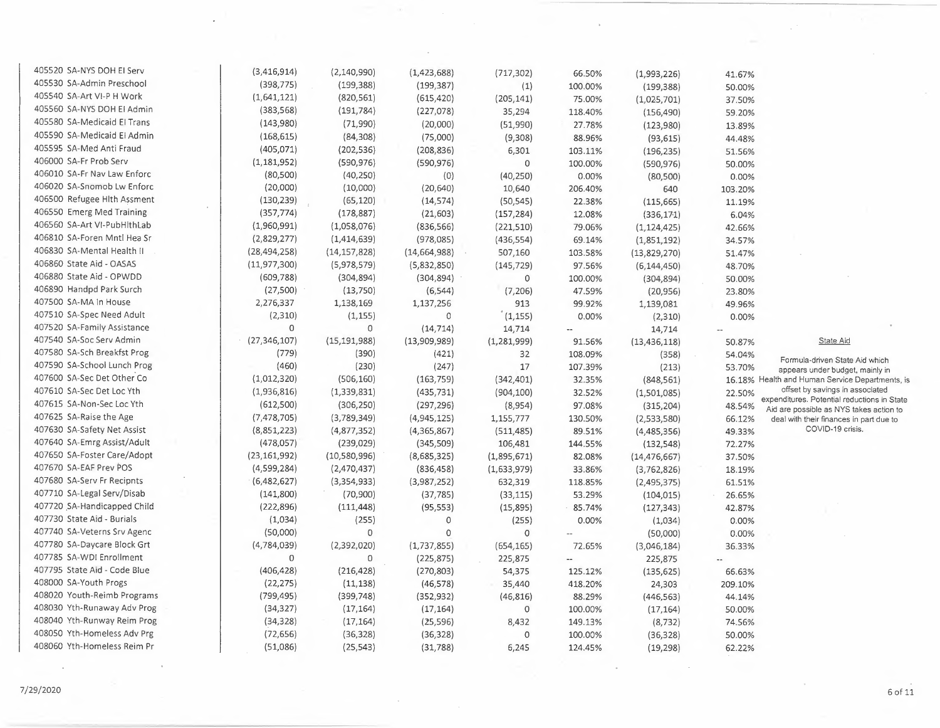| 405520 SA-NYS DOH EI Serv    | (3,416,914)    | (2, 140, 990)  | (1, 423, 688) | (717, 302)  | 66.50%                   | (1,993,226)    | 41.67%               |                                                                                |
|------------------------------|----------------|----------------|---------------|-------------|--------------------------|----------------|----------------------|--------------------------------------------------------------------------------|
| 405530 SA-Admin Preschool    | (398, 775)     | (199, 388)     | (199, 387)    | (1)         | 100.00%                  | (199, 388)     | 50.00%               |                                                                                |
| 405540 SA-Art VI-P H Work    | (1,641,121)    | (820, 561)     | (615, 420)    | (205, 141)  | 75.00%                   | (1,025,701)    | 37.50%               |                                                                                |
| 405560 SA-NYS DOH EI Admin   | (383, 568)     | (191, 784)     | (227,078)     | 35,294      | 118.40%                  | (156, 490)     | 59.20%               |                                                                                |
| 405580 SA-Medicaid El Trans  | (143,980)      | (71,990)       | (20,000)      | (51,990)    | 27.78%                   |                |                      |                                                                                |
| 405590 SA-Medicaid El Admin  | (168, 615)     | (84,308)       | (75,000)      | (9,308)     | 88.96%                   | (123,980)      | 13.89%               |                                                                                |
| 405595 SA-Med Anti Fraud     | (405, 071)     | (202, 536)     | (208, 836)    | 6,301       | 103.11%                  | (93, 615)      | 44.48%               |                                                                                |
| 406000 SA-Fr Prob Serv       | (1, 181, 952)  | (590, 976)     | (590, 976)    | $\circ$     | 100.00%                  | (196, 235)     | 51.56%               |                                                                                |
| 406010 SA-Fr Nav Law Enforc  | (80, 500)      | (40, 250)      | (0)           | (40, 250)   | 0.00%                    | (590, 976)     | 50.00%               |                                                                                |
| 406020 SA-Snomob Lw Enforc   | (20,000)       | (10,000)       | (20, 640)     | 10,640      |                          | (80, 500)      | 0.00%                |                                                                                |
| 406500 Refugee Hith Assment  | (130, 239)     | (65, 120)      | (14, 574)     |             | 206.40%<br>22.38%        | 640            | 103.20%              |                                                                                |
| 406550 Emerg Med Training    | (357, 774)     | (178, 887)     |               | (50, 545)   |                          | (115, 665)     | 11.19%               |                                                                                |
| 406560 SA-Art VI-PubHithLab  | (1,960,991)    |                | (21, 603)     | (157, 284)  | 12.08%                   | (336, 171)     | 6.04%                |                                                                                |
| 406810 SA-Foren Mntl Hea Sr  | (2,829,277)    | (1,058,076)    | (836, 566)    | (221, 510)  | 79.06%                   | (1, 124, 425)  | 42.66%               |                                                                                |
| 406830 SA-Mental Health II   |                | (1,414,639)    | (978, 085)    | (436, 554)  | 69.14%                   | (1,851,192)    | 34.57%               |                                                                                |
| 406860 State Aid - OASAS     | (28, 494, 258) | (14, 157, 828) | (14,664,988)  | 507,160     | 103.58%                  | (13,829,270)   | 51.47%               |                                                                                |
| 406880 State Aid - OPWDD     | (11, 977, 300) | (5,978,579)    | (5,832,850)   | (145, 729)  | 97.56%                   | (6, 144, 450)  | 48.70%               |                                                                                |
|                              | (609, 788)     | (304, 894)     | (304, 894)    | 0           | 100.00%                  | (304, 894)     | 50.00%               |                                                                                |
| 406890 Handpd Park Surch     | (27,500)       | (13,750)       | (6, 544)      | (7, 206)    | 47.59%                   | (20, 956)      | 23.80%               |                                                                                |
| 407500 SA-MA In House        | 2,276,337      | 1,138,169      | 1,137,256     | 913         | 99.92%                   | 1,139,081      | 49.96%               |                                                                                |
| 407510 SA-Spec Need Adult    | (2,310)        | (1, 155)       | $\circ$       | (1, 155)    | 0.00%                    | (2,310)        | 0.00%                |                                                                                |
| 407520 SA-Family Assistance  | 0              | 0              | (14, 714)     | 14,714      | $\overline{\phantom{a}}$ | 14,714         | $\overline{a}$       |                                                                                |
| 407540 SA-Soc Serv Admin     | (27, 346, 107) | (15, 191, 988) | (13,909,989)  | (1,281,999) | 91.56%                   | (13, 436, 118) | 50.87%               | State Aid                                                                      |
| 407580 SA-Sch Breakfst Prog  | (779)          | (390)          | (421)         | 32          | 108.09%                  | (358)          | 54.04%               | Formula-driven State Aid which                                                 |
| 407590 SA-School Lunch Prog  | (460)          | (230)          | (247)         | 17          | 107.39%                  | (213)          | 53.70%               | appears under budget, mainly in                                                |
| 407600 SA-Sec Det Other Co   | (1,012,320)    | (506, 160)     | (163, 759)    | (342, 401)  | 32.35%                   | (848, 561)     |                      | 16.18% Health and Human Service Departments, is                                |
| 407610 SA-Sec Det Loc Yth    | (1,936,816)    | (1,339,831)    | (435, 731)    | (904, 100)  | 32.52%                   | (1,501,085)    | 22.50%               | offset by savings in associated<br>expenditures. Potential reductions in State |
| 407615 SA-Non-Sec Loc Yth    | (612,500)      | (306, 250)     | (297, 296)    | (8,954)     | 97.08%                   | (315, 204)     | 48.54%               | Aid are possible as NYS takes action to                                        |
| 407625 SA-Raise the Age      | (7,478,705)    | (3,789,349)    | (4,945,125)   | 1,155,777   | 130.50%                  | (2,533,580)    | 66.12%               | deal with their finances in part due to                                        |
| 407630 SA-Safety Net Assist  | (8,851,223)    | (4,877,352)    | (4, 365, 867) | (511, 485)  | 89.51%                   | (4,485,356)    | 49.33%               | COVID-19 crisis.                                                               |
| 407640 SA-Emrg Assist/Adult  | (478,057)      | (239, 029)     | (345,509)     | 106,481     | 144.55%                  | (132, 548)     | 72.27%               |                                                                                |
| 407650 SA-Foster Care/Adopt  | (23, 161, 992) | (10,580,996)   | (8,685,325)   | (1,895,671) | 82.08%                   | (14, 476, 667) | 37.50%               |                                                                                |
| 407670 SA-EAF Prev POS       | (4,599,284)    | (2,470,437)    | (836, 458)    | (1,633,979) | 33.86%                   | (3,762,826)    | 18.19%               |                                                                                |
| 407680 SA-Serv Fr Recipnts   | (6,482,627)    | (3, 354, 933)  | (3,987,252)   | 632,319     | 118.85%                  | (2,495,375)    | 61.51%               |                                                                                |
| 407710 SA-Legal Serv/Disab   | (141,800)      | (70, 900)      | (37, 785)     | (33, 115)   | 53.29%                   | (104, 015)     | 26.65%               |                                                                                |
| 407720 SA-Handicapped Child  | (222, 896)     | (111, 448)     | (95, 553)     | (15, 895)   | 85.74%                   | (127, 343)     | 42.87%               |                                                                                |
| 407730 State Aid - Burials   | (1,034)        | (255)          | $\mathbf 0$   | (255)       | 0.00%                    | (1,034)        | 0.00%                |                                                                                |
| 407740 SA-Veterns Srv Agenc  | (50,000)       | 0              | $\mathbf 0$   | $\circ$     | $\overline{\phantom{a}}$ | (50,000)       | 0.00%                |                                                                                |
| 407780 SA-Daycare Block Grt  | (4,784,039)    | (2,392,020)    | (1, 737, 855) | (654, 165)  | 72.65%                   | (3,046,184)    | 36.33%               |                                                                                |
| 407785 SA-WDI Enrollment     | $\mathbf 0$    | 0              | (225, 875)    | 225,875     | $\overline{\phantom{a}}$ | 225,875        | $\ddot{\phantom{a}}$ |                                                                                |
| 407795 State Aid - Code Blue | (406, 428)     | (216, 428)     | (270, 803)    | 54,375      | 125.12%                  | (135, 625)     | 66.63%               |                                                                                |
| 408000 SA-Youth Progs        | (22, 275)      | (11, 138)      | (46, 578)     | 35,440      | 418.20%                  | 24,303         | 209.10%              |                                                                                |
| 408020 Youth-Reimb Programs  | (799, 495)     | (399, 748)     | (352, 932)    | (46, 816)   | 88.29%                   | (446, 563)     | 44.14%               |                                                                                |
| 408030 Yth-Runaway Adv Prog  | (34, 327)      | (17, 164)      | (17, 164)     | $\circ$     | 100.00%                  | (17, 164)      | 50.00%               |                                                                                |
| 408040 Yth-Runway Reim Prog  | (34, 328)      | (17, 164)      | (25, 596)     | 8,432       | 149.13%                  | (8, 732)       | 74.56%               |                                                                                |
| 408050 Yth-Homeless Adv Prg  | (72, 656)      | (36, 328)      | (36, 328)     | 0           | 100.00%                  | (36, 328)      | 50.00%               |                                                                                |
| 408060 Yth-Homeless Reim Pr  | (51,086)       | (25, 543)      | (31, 788)     | 6,245       | 124.45%                  | (19, 298)      | 62.22%               |                                                                                |

 $\rightarrow$ 

 $\mathcal{L}^2$ 

 $\alpha$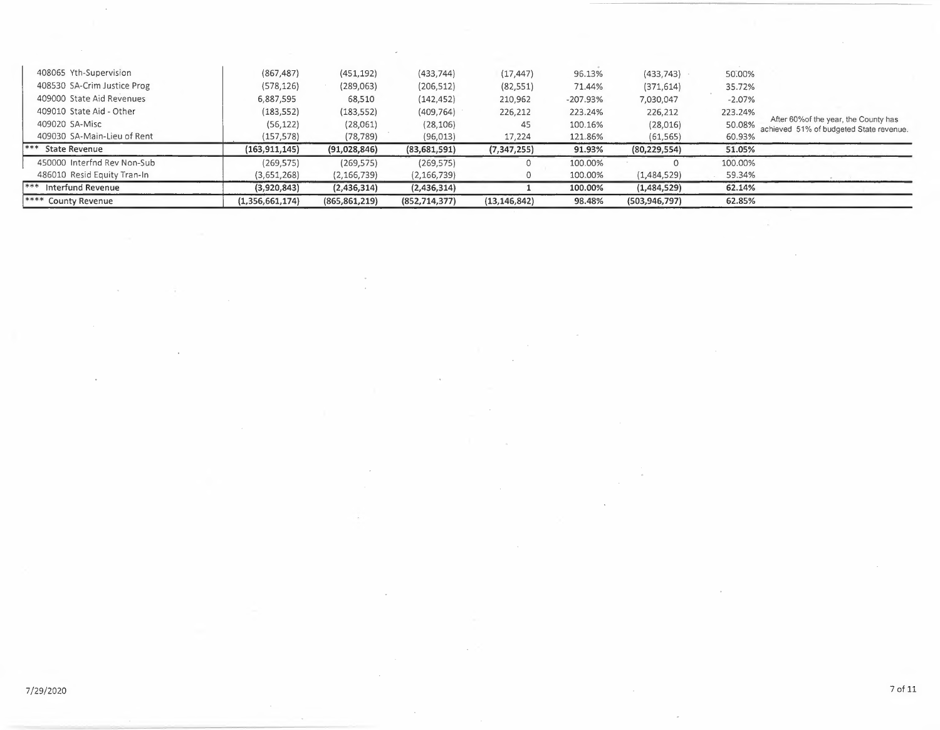| **** County Revenue         | (1,356,661,174) | (865, 861, 219) | (852, 714, 377) | (13, 146, 842) | 98.48%     | (503, 946, 797) | 62.85%   |                                                                                  |
|-----------------------------|-----------------|-----------------|-----------------|----------------|------------|-----------------|----------|----------------------------------------------------------------------------------|
| *** Interfund Revenue       | (3,920,843)     | (2,436,314)     | (2,436,314)     |                | 100.00%    | (1,484,529)     | 62.14%   |                                                                                  |
| 486010 Resid Equity Tran-In | (3,651,268)     | (2, 166, 739)   | (2, 166, 739)   | 0              | 100.00%    | (1,484,529)     | 59.34%   |                                                                                  |
| 450000 Interfnd Rev Non-Sub | (269,575)       | (269, 575)      | (269, 575)      |                | 100.00%    |                 | 100.00%  |                                                                                  |
| *** State Revenue           | (163, 911, 145) | (91,028,846)    | (83,681,591)    | (7, 347, 255)  | 91.93%     | (80, 229, 554)  | 51.05%   |                                                                                  |
| 409030 SA-Main-Lieu of Rent | (157, 578)      | (78, 789)       | (96, 013)       | 17,224         | 121.86%    | (61, 565)       | 60.93%   |                                                                                  |
| 409020 SA-Misc              | (56, 122)       | (28,061)        | (28, 106)       | 45             | 100.16%    | (28, 016)       | 50.08%   | After 60% of the year, the County has<br>achieved 51% of budgeted State revenue. |
| 409010 State Aid - Other    | (183, 552)      | (183, 552)      | (409, 764)      | 226,212        | 223.24%    | 226,212         | 223.24%  |                                                                                  |
| 409000 State Aid Revenues   | 6,887,595       | 68,510          | (142, 452)      | 210,962        | $-207.93%$ | 7,030,047       | $-2.07%$ |                                                                                  |
| 408530 SA-Crim Justice Prog | (578, 126)      | (289,063)       | (206, 512)      | (82, 551)      | 71.44%     | (371, 614)      | 35.72%   |                                                                                  |
| 408065 Yth-Supervision      | (867, 487)      | (451, 192)      | (433, 744)      | (17, 447)      | 96.13%     | (433, 743)      | 50.00%   |                                                                                  |
|                             |                 |                 |                 |                |            |                 |          |                                                                                  |

 $\sim$ 

 $\downarrow$ 

 $\mathcal{L}$ 

÷.

 $\sim$ 

÷,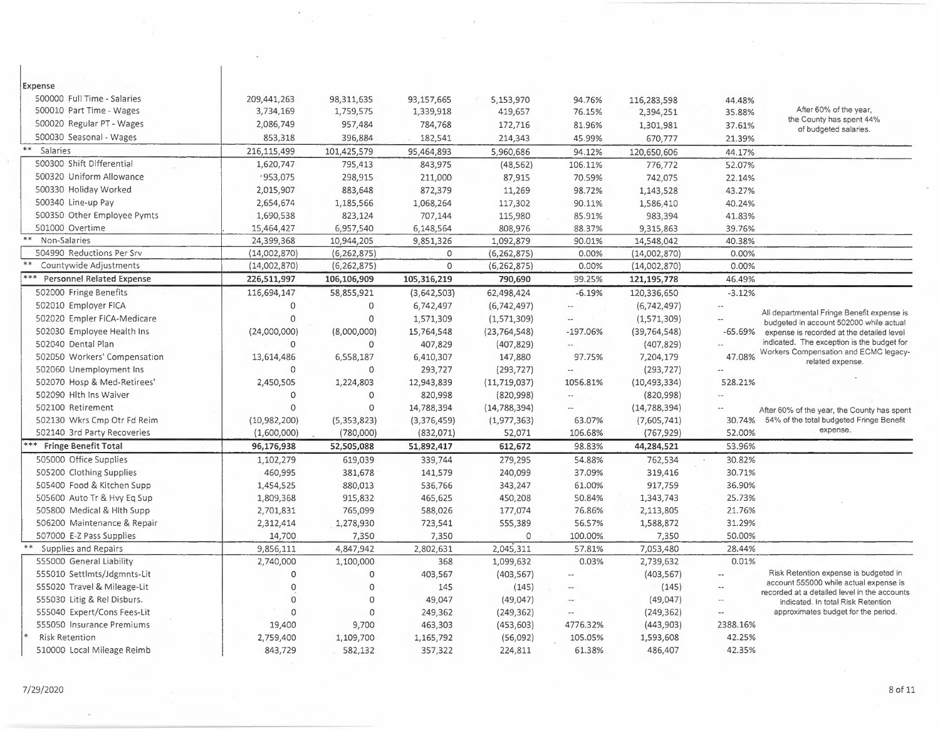| Expense                                   |              |               |             |                |                             |                |                          |                                                                                       |
|-------------------------------------------|--------------|---------------|-------------|----------------|-----------------------------|----------------|--------------------------|---------------------------------------------------------------------------------------|
| 500000 Full Time - Salaries               | 209,441,263  | 98,311,635    | 93,157,665  | 5,153,970      | 94.76%                      | 116,283,598    | 44.48%                   |                                                                                       |
| 500010 Part Time - Wages                  | 3,734,169    | 1,759,575     | 1,339,918   | 419,657        | 76.15%                      | 2,394,251      | 35.88%                   | After 60% of the year,<br>the County has spent 44%                                    |
| 500020 Regular PT - Wages                 | 2,086,749    | 957,484       | 784,768     | 172,716        | 81.96%                      | 1,301,981      | 37.61%                   | of budgeted salaries.                                                                 |
| 500030 Seasonal - Wages                   | 853,318      | 396,884       | 182,541     | 214,343        | 45.99%                      | 670,777        | 21.39%                   |                                                                                       |
| $***$<br>Salaries                         | 216,115,499  | 101,425,579   | 95,464,893  | 5,960,686      | 94.12%                      | 120,650,606    | 44.17%                   |                                                                                       |
| 500300 Shift Differential                 | 1,620,747    | 795,413       | 843,975     | (48, 562)      | 106.11%                     | 776,772        | 52.07%                   |                                                                                       |
| 500320 Uniform Allowance                  | .953,075     | 298,915       | 211,000     | 87,915         | 70.59%                      | 742,075        | 22.14%                   |                                                                                       |
| 500330 Holiday Worked                     | 2,015,907    | 883,648       | 872,379     | 11,269         | 98.72%                      | 1,143,528      | 43.27%                   |                                                                                       |
| 500340 Line-up Pay                        | 2,654,674    | 1,185,566     | 1,068,264   | 117,302        | 90.11%                      | 1,586,410      | 40.24%                   |                                                                                       |
| 500350 Other Employee Pymts               | 1,690,538    | 823,124       | 707,144     | 115,980        | 85.91%                      | 983,394        | 41.83%                   |                                                                                       |
| 501000 Overtime                           | 15,464,427   | 6,957,540     | 6,148,564   | 808,976        | 88.37%                      | 9,315,863      | 39.76%                   |                                                                                       |
| Non-Salaries                              | 24,399,368   | 10,944,205    | 9,851,326   | 1,092,879      | 90.01%                      | 14,548,042     | 40.38%                   |                                                                                       |
| 504990 Reductions Per Srv                 | (14,002,870) | (6, 262, 875) | 0           | (6, 262, 875)  | 0.00%                       | (14,002,870)   | 0.00%                    |                                                                                       |
| Countywide Adjustments                    | (14,002,870) | (6, 262, 875) | $\Omega$    | (6, 262, 875)  | 0.00%                       | (14,002,870)   | 0.00%                    |                                                                                       |
| $***$<br><b>Personnel Related Expense</b> | 226,511,997  | 106,106,909   | 105,316,219 | 790,690        | 99.25%                      | 121,195,778    | 46.49%                   |                                                                                       |
| 502000 Fringe Benefits                    | 116,694,147  | 58,855,921    | (3,642,503) | 62,498,424     | $-6.19%$                    | 120,336,650    | $-3.12%$                 |                                                                                       |
| 502010 Employer FICA                      | $\circ$      | $\Omega$      | 6,742,497   | (6,742,497)    | $\cdots$                    | (6,742,497)    | $\sim$                   |                                                                                       |
| 502020 Empler FICA-Medicare               | $\circ$      | $\mathbf 0$   | 1,571,309   | (1,571,309)    | $\overline{\phantom{a}}$    | (1,571,309)    | $\hspace{0.05cm} \ldots$ | All departmental Fringe Benefit expense is<br>budgeted in account 502000 while actual |
| 502030 Employee Health Ins                | (24,000,000) | (8,000,000)   | 15,764,548  | (23, 764, 548) | $-197.06%$                  | (39, 764, 548) | $-65.69%$                | expense is recorded at the detailed level                                             |
| 502040 Dental Plan                        | $\Omega$     | 0             | 407,829     | (407, 829)     | $\overline{\phantom{a}}$ .  | (407, 829)     | $\sim$                   | indicated. The exception is the budget for                                            |
| 502050 Workers' Compensation              | 13,614,486   | 6,558,187     | 6,410,307   | 147,880        | 97.75%                      | 7,204,179      | 47.08%                   | Workers Compensation and ECMC legacy-<br>related expense.                             |
| 502060 Unemployment Ins                   | 0            | 0             | 293,727     | (293, 727)     | $\overline{\phantom{a}}$    | (293, 727)     |                          |                                                                                       |
| 502070 Hosp & Med-Retirees'               | 2,450,505    | 1,224,803     | 12,943,839  | (11, 719, 037) | 1056.81%                    | (10, 493, 334) | 528.21%                  |                                                                                       |
| 502090 Hith Ins Waiver                    | 0            | 0             | 820,998     | (820,998)      | $\mathcal{L}_{\mathcal{P}}$ | (820,998)      |                          |                                                                                       |
| 502100 Retirement                         | $\mathbf{0}$ | 0             | 14,788,394  | (14, 788, 394) | $\mathcal{L}_{\mathcal{A}}$ | (14, 788, 394) |                          | After 60% of the year, the County has spent                                           |
| 502130 Wkrs Cmp Otr Fd Reim               | (10,982,200) | (5,353,823)   | (3,376,459) | (1, 977, 363)  | 63.07%                      | (7,605,741)    | 30.74%                   | 54% of the total budgeted Fringe Benefit                                              |
| 502140 3rd Party Recoveries               | (1,600,000)  | (780,000)     | (832,071)   | 52,071         | 106.68%                     | (767, 929)     | 52.00%                   | expense.                                                                              |
| *** Fringe Benefit Total                  | 96,176,938   | 52,505,088    | 51,892,417  | 612,672        | 98.83%                      | 44,284,521     | 53.96%                   |                                                                                       |
| 505000 Office Supplies                    | 1,102,279    | 619,039       | 339,744     | 279,295        | 54.88%                      | 762,534        | 30.82%                   |                                                                                       |
| 505200 Clothing Supplies                  | 460,995      | 381,678       | 141,579     | 240,099        | 37.09%                      | 319,416        | 30.71%                   |                                                                                       |
| 505400 Food & Kitchen Supp                | 1,454,525    | 880,013       | 536,766     | 343,247        | 61.00%                      | 917,759        | 36.90%                   |                                                                                       |
| 505600 Auto Tr & Hvy Eq Sup               | 1,809,368    | 915,832       | 465,625     | 450,208        | 50.84%                      | 1,343,743      | 25.73%                   |                                                                                       |
| 505800 Medical & Hith Supp                | 2,701,831    | 765,099       | 588,026     | 177,074        | 76.86%                      | 2,113,805      | 21.76%                   |                                                                                       |
| 506200 Maintenance & Repair               | 2,312,414    | 1,278,930     | 723,541     | 555,389        | 56.57%                      | 1,588,872      | 31.29%                   |                                                                                       |
| 507000 E-Z Pass Supplies                  | 14,700       | 7,350         | 7,350       | $\Omega$       | 100.00%                     | 7,350          | 50.00%                   |                                                                                       |
| $***$<br>Supplies and Repairs             | 9,856,111    | 4,847,942     | 2,802,631   | 2,045,311      | 57.81%                      | 7,053,480      | 28.44%                   |                                                                                       |
| 555000 General Liability                  | 2,740,000    | 1,100,000     | 368         | 1,099,632      | 0.03%                       | 2,739,632      | 0.01%                    |                                                                                       |
| 555010 Settlmts/Jdgmnts-Lit               | $\circ$      | 0             | 403,567     | (403, 567)     | $\sim$                      | (403, 567)     | $\sim$                   | Risk Retention expense is budgeted in                                                 |
| 555020 Travel & Mileage-Lit               | $\mathbf 0$  | 0             | 145         | (145)          | $\overline{\phantom{a}}$    | (145)          | $\sim$                   | account 555000 while actual expense is                                                |
| 555030 Litig & Rel Disburs.               | 0            | 0             | 49,047      | (49, 047)      | $\overline{\phantom{a}}$    | (49,047)       | $\sim$ $-$               | recorded at a detailed level in the accounts<br>indicated. In total Risk Retention    |
| 555040 Expert/Cons Fees-Lit               | $\Omega$     | $\Omega$      | 249,362     | (249, 362)     | $\sim$ $\sim$               | (249, 362)     |                          | approximates budget for the period.                                                   |
| 555050 Insurance Premiums                 | 19,400       | 9,700         | 463,303     | (453, 603)     | 4776.32%                    | (443,903)      | 2388.16%                 |                                                                                       |
| <b>Risk Retention</b>                     | 2,759,400    | 1,109,700     | 1,165,792   | (56,092)       | 105.05%                     | 1,593,608      | 42.25%                   |                                                                                       |
| 510000 Local Mileage Reimb                | 843,729      | 582,132       | 357,322     | 224,811        | 61.38%                      | 486,407        | 42.35%                   |                                                                                       |

 $\ddot{\phantom{a}}$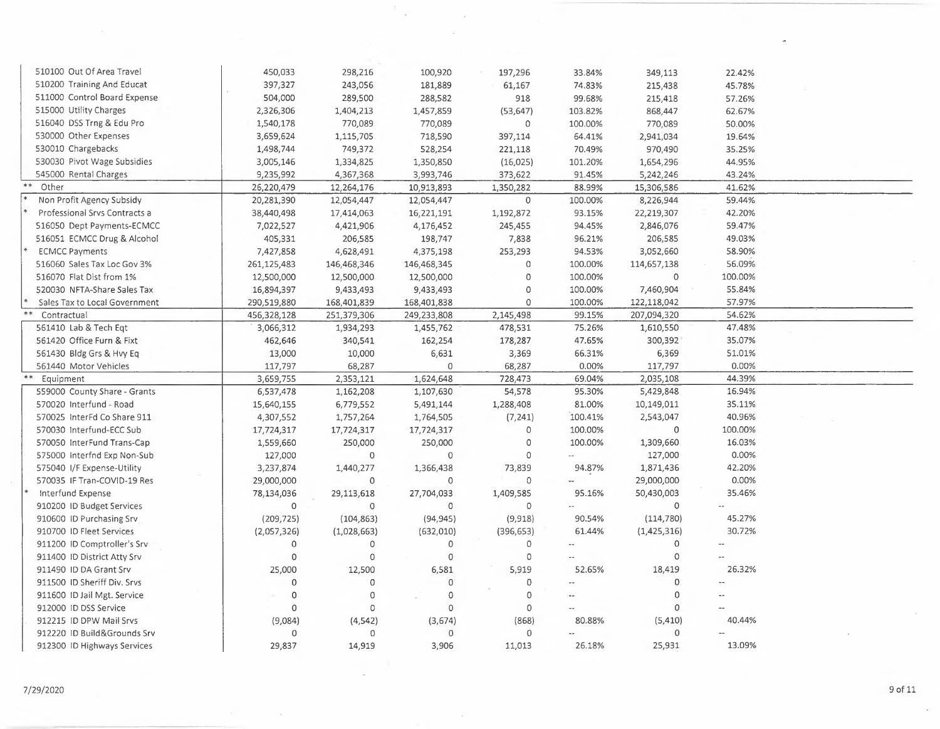| 510100 Out Of Area Travel                              | 450,033             | 298,216                 | 100,920            | 197,296              | 33.84%               | 349,113             | 22.42%  |  |
|--------------------------------------------------------|---------------------|-------------------------|--------------------|----------------------|----------------------|---------------------|---------|--|
| 510200 Training And Educat                             | 397,327             | 243,056                 | 181,889            | 61,167               | 74.83%               | 215,438             | 45.78%  |  |
| 511000 Control Board Expense                           | 504,000             | 289,500                 | 288,582            | 918                  | 99.68%               | 215,418             | 57.26%  |  |
| 515000 Utility Charges                                 | 2,326,306           | 1,404,213               | 1,457,859          | (53, 647)            | 103.82%              | 868,447             | 62.67%  |  |
| 516040 DSS Trng & Edu Pro                              | 1,540,178           | 770,089                 | 770,089            | 0                    | 100.00%              | 770,089             | 50.00%  |  |
| 530000 Other Expenses                                  | 3,659,624           | 1,115,705               | 718,590            | 397,114              | 64.41%               | 2,941,034           | 19.64%  |  |
| 530010 Chargebacks                                     | 1,498,744           | 749,372                 | 528,254            | 221,118              | 70.49%               | 970,490             | 35.25%  |  |
| 530030 Pivot Wage Subsidies                            | 3,005,146           | 1,334,825               | 1,350,850          | (16, 025)            | 101.20%              | 1,654,296           | 44.95%  |  |
| 545000 Rental Charges                                  | 9,235,992           | 4,367,368               | 3,993,746          | 373,622              | 91.45%               | 5,242,246           | 43.24%  |  |
| Other                                                  | 26,220,479          | 12,264,176              | 10,913,893         | 1,350,282            | 88.99%               | 15,306,586          | 41.62%  |  |
| Non Profit Agency Subsidy                              | 20,281,390          | 12,054,447              | 12,054,447         | 0                    | 100.00%              | 8,226,944           | 59.44%  |  |
| Professional Srvs Contracts a                          | 38,440,498          | 17,414,063              | 16,221,191         | 1,192,872            | 93.15%               | 22,219,307          | 42.20%  |  |
| 516050 Dept Payments-ECMCC                             | 7,022,527           | 4,421,906               | 4,176,452          | 245,455              | 94.45%               | 2,846,076           | 59.47%  |  |
| 516051 ECMCC Drug & Alcohol                            | 405,331             | 206,585                 | 198,747            | 7,838                | 96.21%               | 206,585             | 49.03%  |  |
| <b>ECMCC Payments</b>                                  | 7,427,858           | 4,628,491               | 4,375,198          | 253,293              | 94.53%               | 3,052,660           | 58.90%  |  |
| 516060 Sales Tax Loc Gov 3%                            | 261, 125, 483       | 146,468,346             | 146,468,345        | 0                    | 100.00%              | 114,657,138         | 56.09%  |  |
| 516070 Flat Dist from 1%                               | 12,500,000          | 12,500,000              | 12,500,000         | $\mathbf 0$          | 100.00%              | 0                   | 100.00% |  |
| 520030 NFTA-Share Sales Tax                            |                     | 9,433,493               |                    | $\circ$              | 100.00%              | 7,460,904           | 55.84%  |  |
| Sales Tax to Local Government                          | 16,894,397          |                         | 9,433,493          | 0                    | 100.00%              |                     | 57.97%  |  |
|                                                        | 290,519,880         | 168,401,839             | 168,401,838        |                      |                      | 122,118,042         | 54.62%  |  |
| Contractual                                            | 456,328,128         | 251,379,306             | 249,233,808        | 2,145,498            | 99.15%               | 207,094,320         |         |  |
| 561410 Lab & Tech Eqt                                  | 3,066,312           | 1,934,293               | 1,455,762          | 478,531              | 75.26%               | 1,610,550           | 47.48%  |  |
| 561420 Office Furn & Fixt                              | 462,646             | 340,541                 | 162,254            | 178,287              | 47.65%               | 300,392             | 35.07%  |  |
| 561430 Bldg Grs & Hvy Eq                               | 13,000              | 10,000                  | 6,631              | 3,369                | 66.31%               | 6,369               | 51.01%  |  |
| 561440 Motor Vehicles                                  | 117,797             | 68,287                  | $\Omega$           | 68,287               | 0.00%                | 117,797             | 0.00%   |  |
| Equipment                                              | 3,659,755           | 2,353,121               | 1,624,648          | 728,473              | 69.04%               | 2,035,108           | 44.39%  |  |
| 559000 County Share - Grants                           | 6,537,478           | 1,162,208               | 1,107,630          | 54,578               | 95.30%               | 5,429,848           | 16.94%  |  |
| 570020 Interfund - Road                                | 15,640,155          | 6,779,552               | 5,491,144          | 1,288,408            | 81.00%               | 10,149,011          | 35.11%  |  |
| 570025 InterFd Co Share 911                            | 4,307,552           | 1,757,264               | 1,764,505          | (7, 241)             | 100.41%              | 2,543,047           | 40.96%  |  |
| 570030 Interfund-ECC Sub                               | 17,724,317          | 17,724,317              | 17,724,317         | $\circ$              | 100.00%              | $\mathbf 0$         | 100.00% |  |
| 570050 InterFund Trans-Cap                             | 1,559,660           | 250,000                 | 250,000            | $\circ$              | 100.00%              | 1,309,660           | 16.03%  |  |
| 575000 Interfnd Exp Non-Sub                            | 127,000             | 0                       | $\mathbf 0$        | $\Omega$             |                      | 127,000             | 0.00%   |  |
| 575040 I/F Expense-Utility                             | 3,237,874           | 1,440,277               | 1,366,438          | 73,839               | 94.87%               | 1,871,436           | 42.20%  |  |
| 570035 IF Tran-COVID-19 Res                            | 29,000,000          | $\mathbf 0$             | $\circ$            | $\circ$              | --                   | 29,000,000          | 0.00%   |  |
| Interfund Expense                                      | 78,134,036          | 29,113,618              | 27,704,033         | 1,409,585            | 95.16%               | 50,430,003          | 35.46%  |  |
| 910200 ID Budget Services                              | $\Omega$            | $\mathbf 0$             | $\Omega$           | $\Omega$             |                      | $\circ$             |         |  |
| 910600 ID Purchasing Srv                               | (209, 725)          | (104, 863)              | (94, 945)          | (9,918)              | 90.54%               | (114, 780)          | 45.27%  |  |
| 910700 ID Fleet Services                               | (2,057,326)         | (1,028,663)             | (632,010)          | (396, 653)           | 61.44%               | (1,425,316)         | 30.72%  |  |
| 911200 ID Comptroller's Srv                            | $\Omega$            | $\circ$                 | $\circ$            | $\circ$              | $\ddot{\phantom{a}}$ | $\mathbf 0$         |         |  |
|                                                        | $\Omega$            | $\circ$                 | $\Omega$           | $\circ$              |                      | $\circ$             |         |  |
| 911400 ID District Atty Srv                            |                     |                         |                    |                      |                      |                     |         |  |
| 911490 ID DA Grant Srv                                 |                     |                         |                    |                      | 52.65%               | 18,419              | 26.32%  |  |
| 911500 ID Sheriff Div. Srvs                            | 25,000<br>$\Omega$  | 12,500<br>$\Omega$      | 6,581<br>$\Omega$  | 5,919<br>$\mathbf 0$ |                      | $\circ$             |         |  |
|                                                        |                     |                         | $\Omega$           |                      |                      | 0                   |         |  |
| 911600 ID Jail Mgt. Service                            | $\circ$             | $\mathbb O$             | $\theta$           | $\mathbb O$          | $\overline{a}$       |                     | $-$     |  |
| 912000 ID DSS Service                                  | $\mathbf 0$         | $\circ$                 |                    | $\mathbf 0$          |                      | 0                   |         |  |
| 912215 ID DPW Mail Srvs<br>912220 ID Build&Grounds Srv | (9,084)<br>$\Omega$ | (4, 542)<br>$\mathbf 0$ | (3,674)<br>$\circ$ | (868)<br>$\circ$     | 80.88%               | (5, 410)<br>$\circ$ | 40.44%  |  |

 $\label{eq:2.1} \frac{d\mathbf{r}}{d\mathbf{r}} = \frac{1}{\sqrt{2\pi}}\left(\frac{d\mathbf{r}}{d\mathbf{r}}\right)^2 \mathbf{r}^2 + \frac{1}{2}\left(\frac{d\mathbf{r}}{d\mathbf{r}}\right)^2.$ 

 $\sim 10^{11}$  km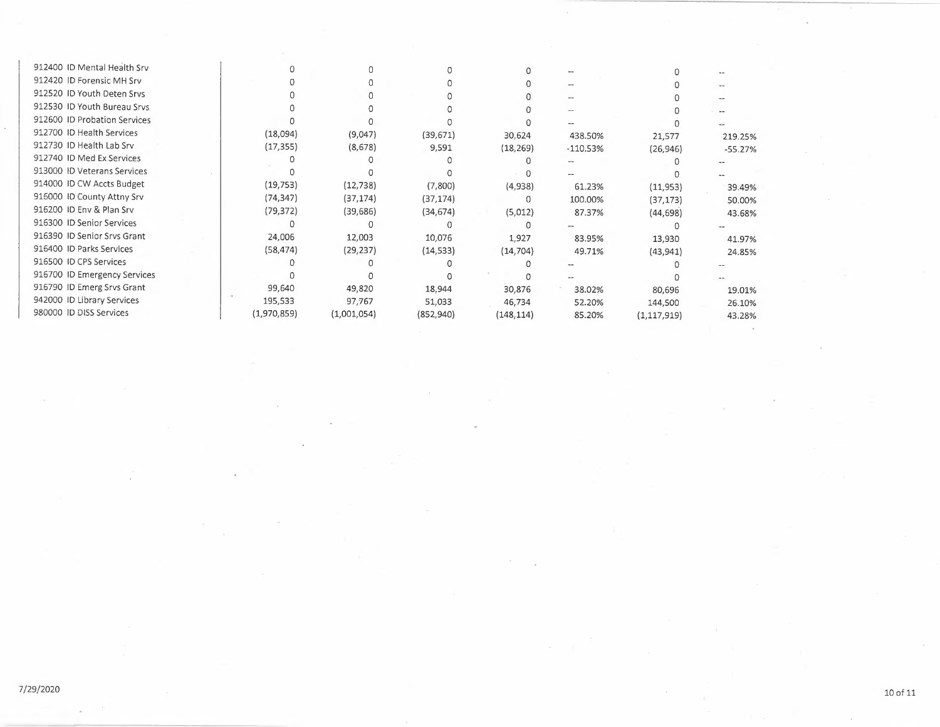| 912400 ID Mental Health Srv  |             |             |           |            |            |               |                        |
|------------------------------|-------------|-------------|-----------|------------|------------|---------------|------------------------|
| 912420 ID Forensic MH Srv    |             |             |           |            |            |               |                        |
| 912520 ID Youth Deten Srvs   |             |             |           |            | --         |               |                        |
| 912530 ID Youth Bureau Srvs  |             |             |           |            |            |               | $\qquad \qquad \cdots$ |
| 912600 ID Probation Services |             |             |           |            |            |               |                        |
| 912700 ID Health Services    | (18,094)    | (9,047)     | (39, 671) | 30,624     | 438.50%    | 21,577        | 219.25%                |
| 912730 ID Health Lab Srv     | (17, 355)   | (8,678)     | 9,591     | (18, 269)  | $-110.53%$ | (26, 946)     | $-55.27%$              |
| 912740 ID Med Ex Services    |             |             |           |            |            |               |                        |
| 913000 ID Veterans Services  |             |             |           |            |            |               |                        |
| 914000 ID CW Accts Budget    | (19, 753)   | (12, 738)   | (7,800)   | (4,938)    | 61.23%     | (11, 953)     | 39.49%                 |
| 916000 ID County Attny Srv   | (74, 347)   | (37, 174)   | (37, 174) | 0          | 100.00%    | (37, 173)     | 50.00%                 |
| 916200 ID Env & Plan Srv     | (79, 372)   | (39, 686)   | (34, 674) | (5,012)    | 87.37%     | (44, 698)     | 43.68%                 |
| 916300 ID Senior Services    |             |             |           |            |            |               |                        |
| 916390 ID Senior Srvs Grant  | 24,006      | 12,003      | 10,076    | 1,927      | 83.95%     | 13,930        | 41.97%                 |
| 916400 ID Parks Services     | (58, 474)   | (29, 237)   | (14, 533) | (14, 704)  | 49.71%     | (43, 941)     | 24.85%                 |
| 916500 ID CPS Services       |             |             |           |            |            |               |                        |
| 916700 ID Emergency Services |             |             |           |            |            |               |                        |
| 916790 ID Emerg Srvs Grant   | 99,640      | 49,820      | 18,944    | 30,876     | 38.02%     | 80,696        | 19.01%                 |
| 942000 ID Library Services   | 195,533     | 97,767      | 51,033    | 46,734     | 52.20%     | 144,500       | 26.10%                 |
| 980000 ID DISS Services      | (1,970,859) | (1,001,054) | (852,940) | (148, 114) | 85.20%     | (1, 117, 919) | 43.28%                 |
|                              |             |             |           |            |            |               |                        |